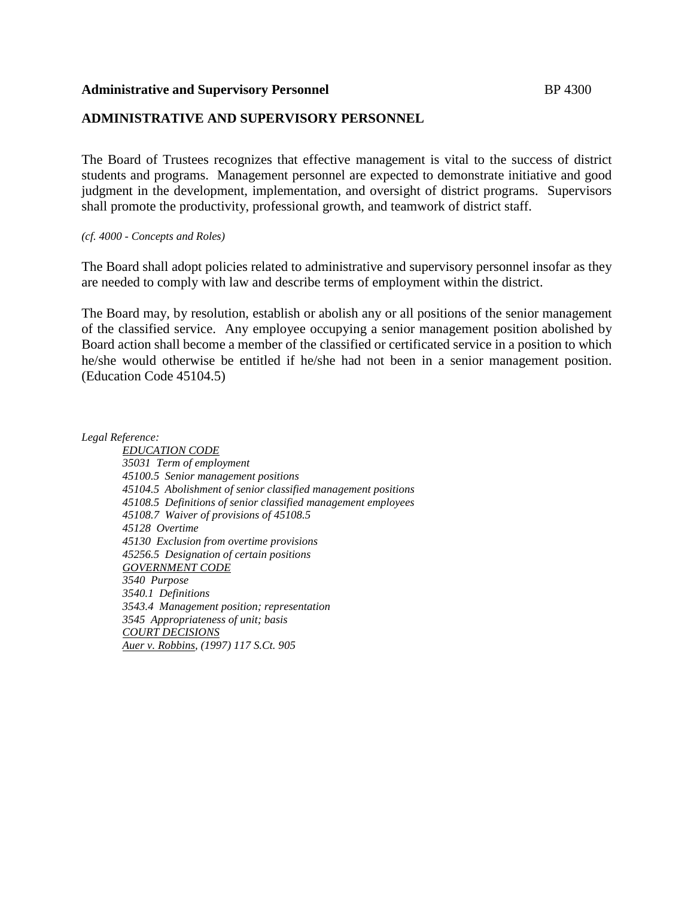#### **Administrative and Supervisory Personnel** BP 4300

## **ADMINISTRATIVE AND SUPERVISORY PERSONNEL**

The Board of Trustees recognizes that effective management is vital to the success of district students and programs. Management personnel are expected to demonstrate initiative and good judgment in the development, implementation, and oversight of district programs. Supervisors shall promote the productivity, professional growth, and teamwork of district staff.

#### *(cf. 4000 - Concepts and Roles)*

The Board shall adopt policies related to administrative and supervisory personnel insofar as they are needed to comply with law and describe terms of employment within the district.

The Board may, by resolution, establish or abolish any or all positions of the senior management of the classified service. Any employee occupying a senior management position abolished by Board action shall become a member of the classified or certificated service in a position to which he/she would otherwise be entitled if he/she had not been in a senior management position. (Education Code 45104.5)

*Legal Reference:*

*EDUCATION CODE 35031 Term of employment 45100.5 Senior management positions 45104.5 Abolishment of senior classified management positions 45108.5 Definitions of senior classified management employees 45108.7 Waiver of provisions of 45108.5 45128 Overtime 45130 Exclusion from overtime provisions 45256.5 Designation of certain positions GOVERNMENT CODE 3540 Purpose 3540.1 Definitions 3543.4 Management position; representation 3545 Appropriateness of unit; basis COURT DECISIONS Auer v. Robbins, (1997) 117 S.Ct. 905*